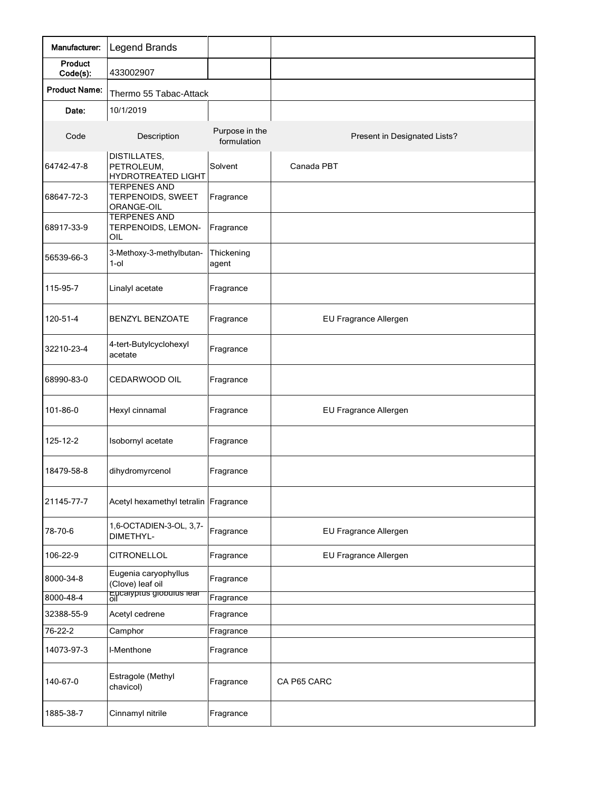| Manufacturer:            | <b>Legend Brands</b>                                                                                       |                               |                              |
|--------------------------|------------------------------------------------------------------------------------------------------------|-------------------------------|------------------------------|
| Product<br>Code(s):      | 433002907                                                                                                  |                               |                              |
| <b>Product Name:</b>     | Thermo 55 Tabac-Attack                                                                                     |                               |                              |
| Date:                    | 10/1/2019                                                                                                  |                               |                              |
| Code                     | Description                                                                                                | Purpose in the<br>formulation | Present in Designated Lists? |
| 64742-47-8               | DISTILLATES,<br>PETROLEUM,<br><b>HYDROTREATED LIGHT</b>                                                    | Solvent                       | Canada PBT                   |
| 68647-72-3<br>68917-33-9 | <b>TERPENES AND</b><br>TERPENOIDS, SWEET<br>ORANGE-OIL<br><b>TERPENES AND</b><br>TERPENOIDS, LEMON-<br>OIL | Fragrance<br>Fragrance        |                              |
| 56539-66-3               | 3-Methoxy-3-methylbutan-<br>$1$ -ol                                                                        | Thickening<br>agent           |                              |
| 115-95-7                 | Linalyl acetate                                                                                            | Fragrance                     |                              |
| 120-51-4                 | <b>BENZYL BENZOATE</b>                                                                                     | Fragrance                     | EU Fragrance Allergen        |
| 32210-23-4               | 4-tert-Butylcyclohexyl<br>acetate                                                                          | Fragrance                     |                              |
| 68990-83-0               | CEDARWOOD OIL                                                                                              | Fragrance                     |                              |
| 101-86-0                 | Hexyl cinnamal                                                                                             | Fragrance                     | EU Fragrance Allergen        |
| 125-12-2                 | Isobornyl acetate                                                                                          | Fragrance                     |                              |
| 18479-58-8               | dihydromyrcenol                                                                                            | Fragrance                     |                              |
| 21145-77-7               | Acetyl hexamethyl tetralin                                                                                 | Fragrance                     |                              |
| 78-70-6                  | 1,6-OCTADIEN-3-OL, 3,7-<br>DIMETHYL-                                                                       | Fragrance                     | EU Fragrance Allergen        |
| 106-22-9                 | <b>CITRONELLOL</b>                                                                                         | Fragrance                     | EU Fragrance Allergen        |
| 8000-34-8                | Eugenia caryophyllus<br>(Clove) leaf oil                                                                   | Fragrance                     |                              |
| 8000-48-4                | Eucalyptus globulus leaf<br>oil                                                                            | Fragrance                     |                              |
| 32388-55-9               | Acetyl cedrene                                                                                             | Fragrance                     |                              |
| 76-22-2                  | Camphor                                                                                                    | Fragrance                     |                              |
| 14073-97-3               | I-Menthone                                                                                                 | Fragrance                     |                              |
| 140-67-0                 | Estragole (Methyl<br>chavicol)                                                                             | Fragrance                     | CA P65 CARC                  |
| 1885-38-7                | Cinnamyl nitrile                                                                                           | Fragrance                     |                              |